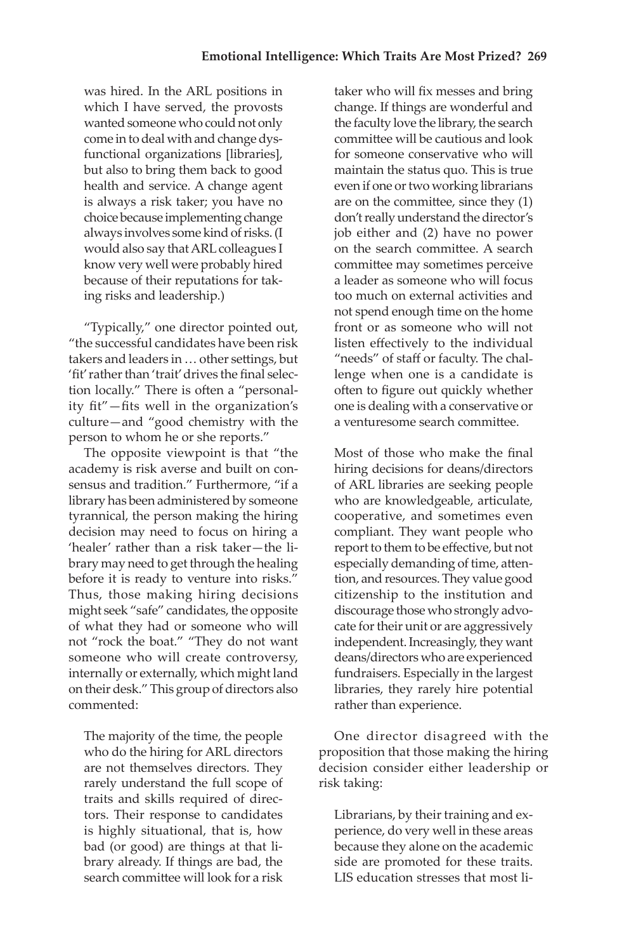was hired. In the ARL positions in which I have served, the provosts wanted someone who could not only come in to deal with and change dys- functional organizations [libraries], but also to bring them back to good health and service. A change agent is always a risk taker; you have no choice because implementing change always involves some kind of risks. (I would also say thatARL colleagues I know very well were probably hired because of their reputations for tak-ing risks and leadership.)

 "the successful candidates have been risk takers and leaders in ... other settings, but 'fit' rather than 'trait' drives the final selec- ity fit"—fits well in the organization's "Typically," one director pointed out, tion locally." There is often a "personalculture—and "good chemistry with the person to whom he or she reports."

 The opposite viewpoint is that "the academy is risk averse and built on con- sensus and tradition." Furthermore, "if a library has been administered by someone tyrannical, the person making the hiring decision may need to focus on hiring a 'healer' rather than a risk taker—the li- brary may need to get through the healing before it is ready to venture into risks." Thus, those making hiring decisions might seek "safe" candidates, the opposite of what they had or someone who will not "rock the boat." "They do not want someone who will create controversy, internally or externally, which might land on their desk." This group of directors also commented:

 The majority of the time, the people who do the hiring for ARL directors are not themselves directors. They rarely understand the full scope of traits and skills required of direc- tors. Their response to candidates is highly situational, that is, how bad (or good) are things at that li- brary already. If things are bad, the search committee will look for a risk  taker who will fix messes and bring change. If things are wonderful and the faculty love the library, the search committee will be cautious and look for someone conservative who will maintain the status quo. This is true even if one or two working librarians are on the committee, since they (1) don't really understand the director's job either and (2) have no power on the search committee. A search committee may sometimes perceive a leader as someone who will focus too much on external activities and not spend enough time on the home front or as someone who will not listen effectively to the individual "needs" of staff or faculty. The chal- lenge when one is a candidate is often to figure out quickly whether one is dealing with a conservative or a venturesome search committee.

 hiring decisions for deans/directors of ARL libraries are seeking people who are knowledgeable, articulate, cooperative, and sometimes even compliant. They want people who report to them to be effective, but not especially demanding of time, atten- tion, and resources. They value good citizenship to the institution and discourage those who strongly advo- cate for their unit or are aggressively independent. Increasingly, they want deans/directors who are experienced fundraisers. Especially in the largest libraries, they rarely hire potential rather than experience. Most of those who make the final

 One director disagreed with the decision consider either leadership or proposition that those making the hiring risk taking:

 perience, do very well in these areas Librarians, by their training and exbecause they alone on the academic side are promoted for these traits. LIS education stresses that most li-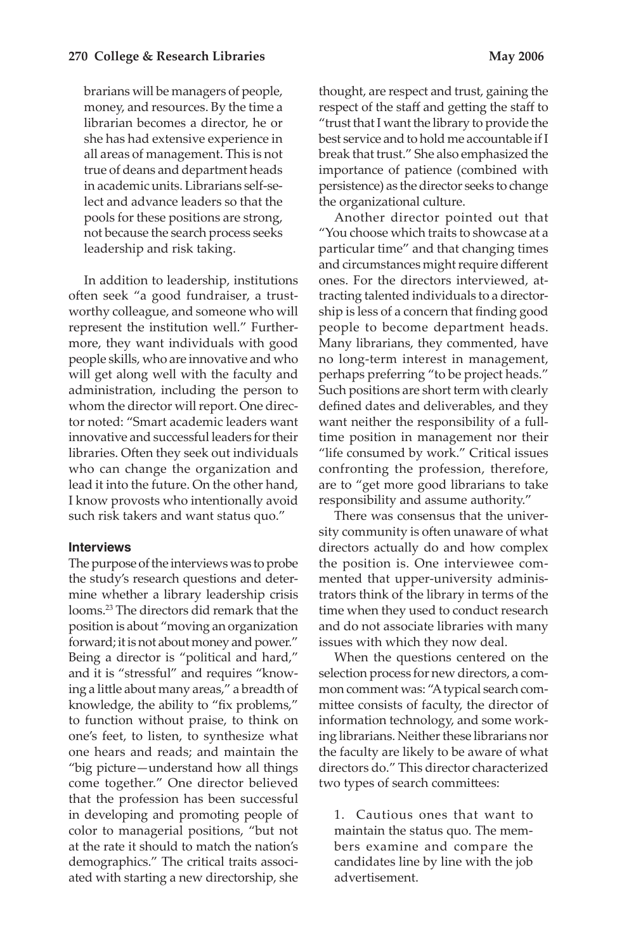brarians will be managers of people, all areas of management. This is not true of deans and department heads in academic units. Librarians self-se- not because the search process seeks money, and resources. By the time a librarian becomes a director, he or she has had extensive experience in lect and advance leaders so that the pools for these positions are strong, leadership and risk taking.

often seek "a good fundraiser, a trust- worthy colleague, and someone who will people skills, who are innovative and who administration, including the person to whom the director will report. One direc- innovative and successful leaders for their who can change the organization and In addition to leadership, institutions represent the institution well." Furthermore, they want individuals with good will get along well with the faculty and tor noted: "Smart academic leaders want libraries. Often they seek out individuals lead it into the future. On the other hand, I know provosts who intentionally avoid such risk takers and want status quo."

## **Interviews**

 The purpose of the interviews was to probe the study's research questions and deter- mine whether a library leadership crisis looms.23 The directors did remark that the position is about "moving an organization forward; it is not about money and power." Being a director is "political and hard," and it is "stressful" and requires "knowing a little about many areas," a breadth of knowledge, the ability to "fix problems," to function without praise, to think on one's feet, to listen, to synthesize what one hears and reads; and maintain the "big picture—understand how all things come together." One director believed that the profession has been successful in developing and promoting people of color to managerial positions, "but not at the rate it should to match the nation's demographics." The critical traits associ-ated with starting a new directorship, she

 thought, are respect and trust, gaining the respect of the staff and getting the staff to "trust that I want the library to provide the best service and to hold me accountable if I break that trust." She also emphasized the importance of patience (combined with persistence) as the director seeks to change the organizational culture.

 Another director pointed out that "You choose which traits to showcase at a and circumstances might require different ones. For the directors interviewed, at- tracting talented individuals to a director- people to become department heads. no long-term interest in management, Such positions are short term with clearly time position in management nor their confronting the profession, therefore, particular time" and that changing times ship is less of a concern that finding good Many librarians, they commented, have perhaps preferring "to be project heads." defined dates and deliverables, and they want neither the responsibility of a full-"life consumed by work." Critical issues are to "get more good librarians to take responsibility and assume authority."

 the position is. One interviewee com- mented that upper-university adminis-There was consensus that the university community is often unaware of what directors actually do and how complex trators think of the library in terms of the time when they used to conduct research and do not associate libraries with many issues with which they now deal.

 When the questions centered on the selection process for new directors, a com- mon comment was: "A typical search com- ing librarians. Neither these librarians nor directors do." This director characterized mittee consists of faculty, the director of information technology, and some workthe faculty are likely to be aware of what two types of search committees:

1. bers examine and compare the Cautious ones that want to maintain the status quo. The memcandidates line by line with the job advertisement.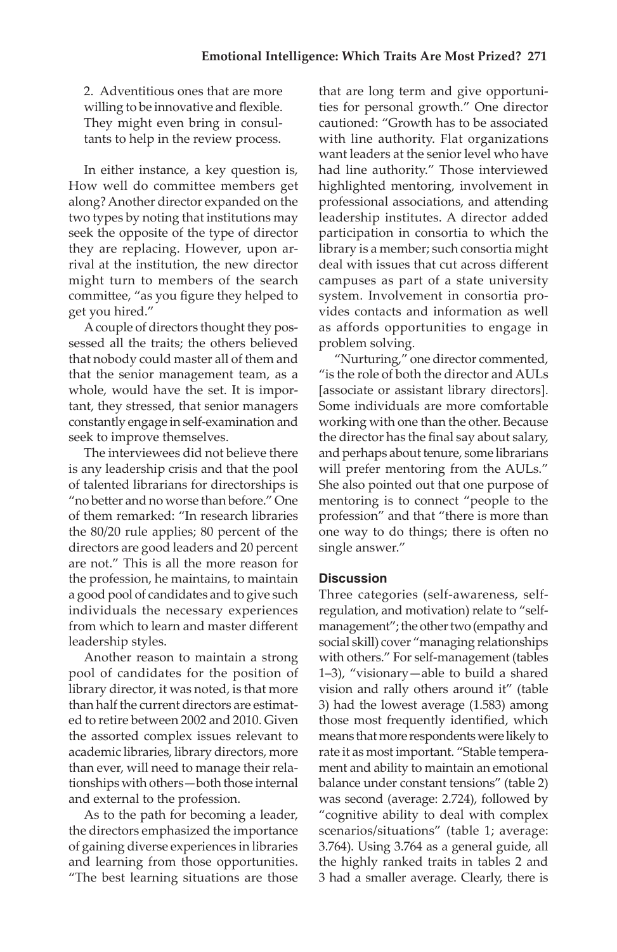willing to be innovative and flexible. They might even bring in consul-2. Adventitious ones that are more tants to help in the review process.

 In either instance, a key question is, How well do committee members get along? Another director expanded on the they are replacing. However, upon ar- might turn to members of the search two types by noting that institutions may seek the opposite of the type of director rival at the institution, the new director committee, "as you figure they helped to get you hired."

 A couple of directors thought they pos- that the senior management team, as a constantly engage in self-examination and sessed all the traits; the others believed that nobody could master all of them and whole, would have the set. It is important, they stressed, that senior managers seek to improve themselves.

"no better and no worse than before." One a good pool of candidates and to give such individuals the necessary experiences The interviewees did not believe there is any leadership crisis and that the pool of talented librarians for directorships is of them remarked: "In research libraries the 80/20 rule applies; 80 percent of the directors are good leaders and 20 percent are not." This is all the more reason for the profession, he maintains, to maintain from which to learn and master different leadership styles.

 Another reason to maintain a strong pool of candidates for the position of library director, it was noted, is that more than half the current directors are estimat- ed to retire between 2002 and 2010. Given the assorted complex issues relevant to academic libraries, library directors, more tionships with others—both those internal than ever, will need to manage their relaand external to the profession.

 of gaining diverse experiences in libraries and learning from those opportunities. "The best learning situations are those As to the path for becoming a leader, the directors emphasized the importance

 that are long term and give opportuni- ties for personal growth." One director with line authority. Flat organizations had line authority." Those interviewed leadership institutes. A director added participation in consortia to which the library is a member; such consortia might campuses as part of a state university system. Involvement in consortia pro- vides contacts and information as well as affords opportunities to engage in cautioned: "Growth has to be associated want leaders at the senior level who have highlighted mentoring, involvement in professional associations, and attending deal with issues that cut across different problem solving.

 "Nurturing," one director commented, working with one than the other. Because and perhaps about tenure, some librarians will prefer mentoring from the AULs." mentoring is to connect "people to the "is the role of both the director and AULs [associate or assistant library directors]. Some individuals are more comfortable the director has the final say about salary, She also pointed out that one purpose of profession" and that "there is more than one way to do things; there is often no single answer."

### **Discussion**

 Three categories (self-awareness, self- regulation, and motivation) relate to "self- management"; the other two (empathy and social skill) cover "managing relationships with others." For self-management (tables 1–3), "visionary—able to build a shared vision and rally others around it" (table 3) had the lowest average (1.583) among those most frequently identified, which means that more respondents were likely to rate it as most important. "Stable tempera- ment and ability to maintain an emotional balance under constant tensions" (table 2) was second (average: 2.724), followed by "cognitive ability to deal with complex scenarios/situations" (table 1; average: 3.764). Using 3.764 as a general guide, all the highly ranked traits in tables 2 and 3 had a smaller average. Clearly, there is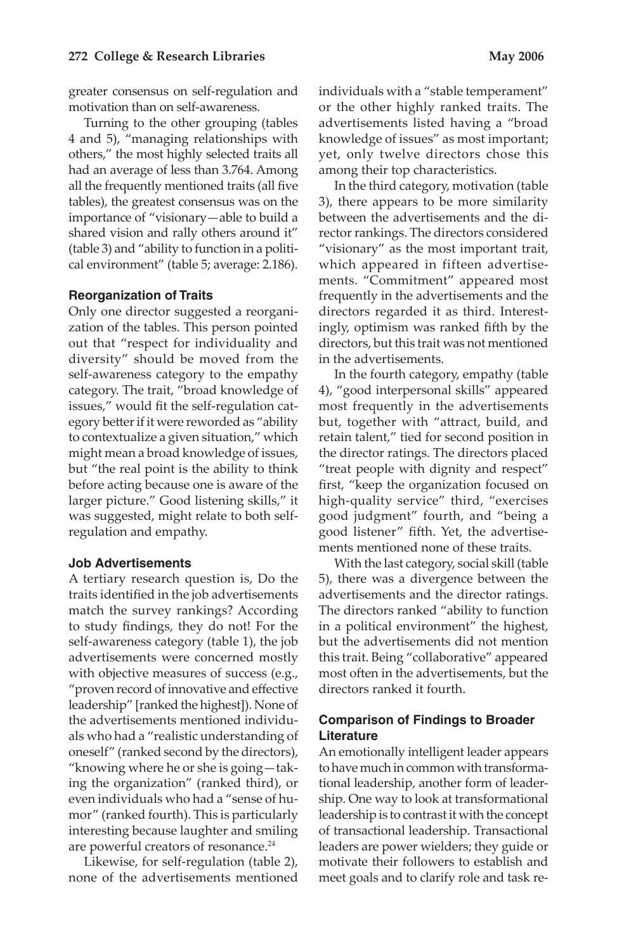greater consensus on self-regulation and motivation than on self-awareness.

 Turning to the other grouping (tables others," the most highly selected traits all had an average of less than 3.764. Among all the frequently mentioned traits (all five tables), the greatest consensus was on the importance of "visionary—able to build a shared vision and rally others around it" (table 3) and "ability to function in a politi- cal environment" (table 5; average: 2.186). 4 and 5), "managing relationships with

# **Reorganization of Traits**

 out that "respect for individuality and diversity" should be moved from the egory better if it were reworded as "ability to contextualize a given situation," which might mean a broad knowledge of issues, Only one director suggested a reorganization of the tables. This person pointed self-awareness category to the empathy category. The trait, "broad knowledge of issues," would fit the self-regulation catbut "the real point is the ability to think before acting because one is aware of the larger picture." Good listening skills," it was suggested, might relate to both selfregulation and empathy.

### **Job Advertisements**

 A tertiary research question is, Do the match the survey rankings? According to study findings, they do not! For the advertisements were concerned mostly "proven record of innovative and effective leadership" [ranked the highest]). None of oneself" (ranked second by the directors), even individuals who had a "sense of hu- mor" (ranked fourth). This is particularly traits identified in the job advertisements self-awareness category (table 1), the job with objective measures of success (e.g., the advertisements mentioned individuals who had a "realistic understanding of "knowing where he or she is going—taking the organization" (ranked third), or interesting because laughter and smiling are powerful creators of resonance.<sup>24</sup>

 none of the advertisements mentioned Likewise, for self-regulation (table 2),

 or the other highly ranked traits. The advertisements listed having a "broad yet, only twelve directors chose this individuals with a "stable temperament" knowledge of issues" as most important; among their top characteristics.

 In the third category, motivation (table 3), there appears to be more similarity rector rankings. The directors considered which appeared in fifteen advertise- ments. "Commitment" appeared most directors regarded it as third. Interest- directors, but this trait was not mentioned between the advertisements and the di-"visionary" as the most important trait, frequently in the advertisements and the ingly, optimism was ranked fifth by the in the advertisements.

 most frequently in the advertisements but, together with "attract, build, and high-quality service" third, "exercises good judgment" fourth, and "being a good listener" fifth. Yet, the advertise-In the fourth category, empathy (table 4), "good interpersonal skills" appeared retain talent," tied for second position in the director ratings. The directors placed "treat people with dignity and respect" first, "keep the organization focused on ments mentioned none of these traits.

 With the last category, social skill (table 5), there was a divergence between the advertisements and the director ratings. The directors ranked "ability to function in a political environment" the highest, but the advertisements did not mention this trait. Being "collaborative" appeared most often in the advertisements, but the directors ranked it fourth.

# **Comparison of Findings to Broader Literature**

 An emotionally intelligent leader appears to have much in common with transforma- tional leadership, another form of leader- ship. One way to look at transformational leadership is to contrast it with the concept of transactional leadership. Transactional leaders are power wielders; they guide or motivate their followers to establish and meet goals and to clarify role and task re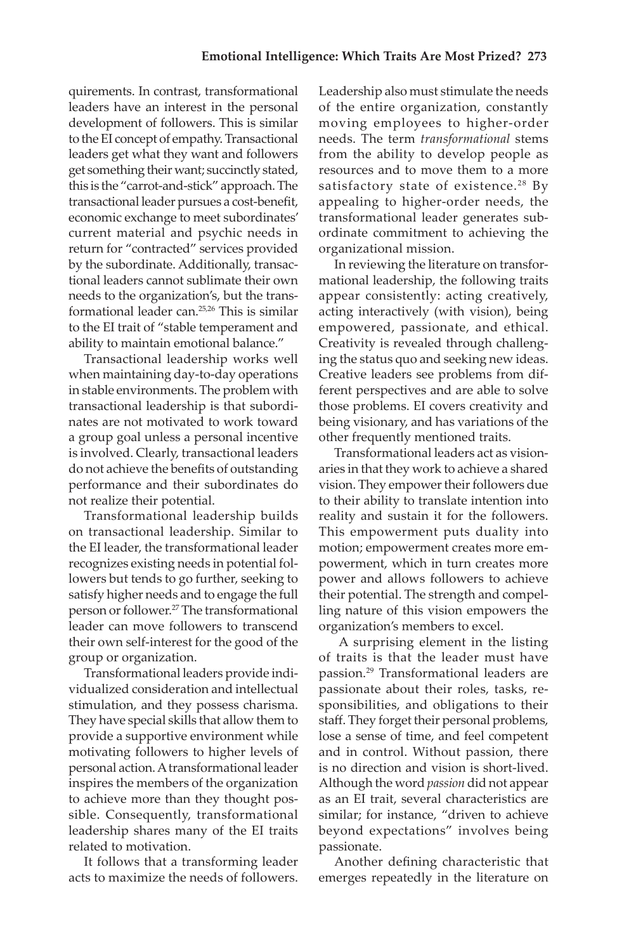quirements. In contrast, transformational leaders have an interest in the personal development of followers. This is similar to the EI concept of empathy. Transactional leaders get what they want and followers get something their want; succinctly stated, this is the "carrot-and-stick" approach. The transactional leader pursues a cost-benefit, economic exchange to meet subordinates' current material and psychic needs in return for "contracted" services provided by the subordinate. Additionally, transac- tional leaders cannot sublimate their own needs to the organization's, but the trans- formational leader can.25,26 This is similar to the EI trait of "stable temperament and ability to maintain emotional balance."

 Transactional leadership works well when maintaining day-to-day operations in stable environments. The problem with do not achieve the benefits of outstanding performance and their subordinates do transactional leadership is that subordinates are not motivated to work toward a group goal unless a personal incentive is involved. Clearly, transactional leaders not realize their potential.

 on transactional leadership. Similar to recognizes existing needs in potential fol- satisfy higher needs and to engage the full person or follower.<sup>27</sup> The transformational Transformational leadership builds the EI leader, the transformational leader lowers but tends to go further, seeking to leader can move followers to transcend their own self-interest for the good of the group or organization.

 Transformational leaders provide indi- vidualized consideration and intellectual They have special skills that allow them to personal action. A transformational leader leadership shares many of the EI traits stimulation, and they possess charisma. provide a supportive environment while motivating followers to higher levels of inspires the members of the organization to achieve more than they thought possible. Consequently, transformational related to motivation.

 It follows that a transforming leader acts to maximize the needs of followers.

 Leadership also must stimulate the needs of the entire organization, constantly moving employees to higher-order needs. The term *transformational* stems from the ability to develop people as resources and to move them to a more satisfactory state of existence.<sup>28</sup> By appealing to higher-order needs, the transformational leader generates sub- ordinate commitment to achieving the organizational mission.

 In reviewing the literature on transfor- appear consistently: acting creatively, acting interactively (with vision), being empowered, passionate, and ethical. ing the status quo and seeking new ideas. mational leadership, the following traits Creativity is revealed through challeng-Creative leaders see problems from different perspectives and are able to solve those problems. EI covers creativity and being visionary, and has variations of the other frequently mentioned traits.

 Transformational leaders act as vision- aries in that they work to achieve a shared vision. They empower their followers due reality and sustain it for the followers. This empowerment puts duality into power and allows followers to achieve to their ability to translate intention into motion; empowerment creates more empowerment, which in turn creates more their potential. The strength and compelling nature of this vision empowers the organization's members to excel.

 of traits is that the leader must have passion.29 Transformational leaders are passionate about their roles, tasks, re- sponsibilities, and obligations to their staff. They forget their personal problems, and in control. Without passion, there Although the word *passion* did not appear beyond expectations" involves being A surprising element in the listing lose a sense of time, and feel competent is no direction and vision is short-lived. as an EI trait, several characteristics are similar; for instance, "driven to achieve passionate.

 Another defining characteristic that emerges repeatedly in the literature on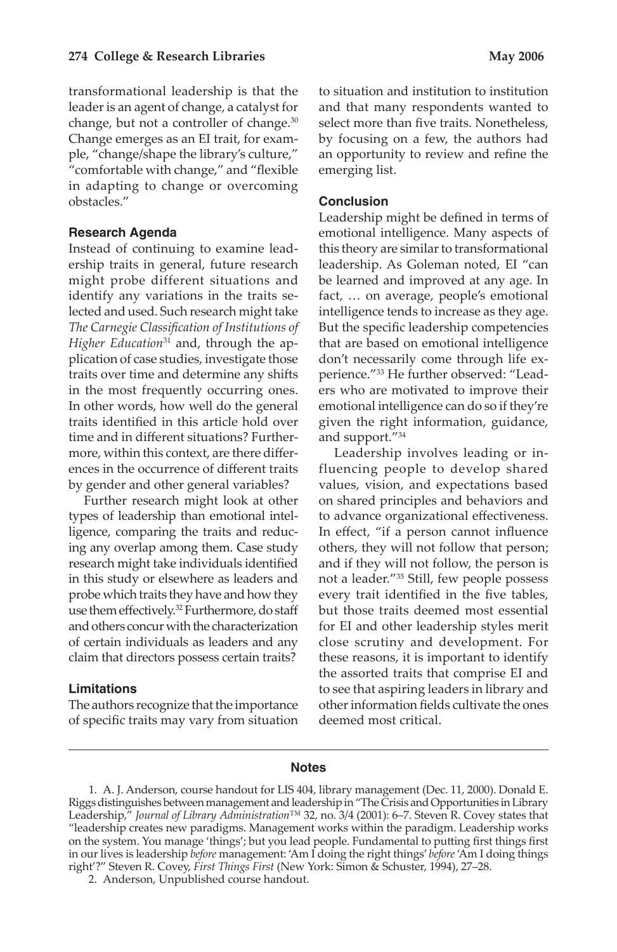transformational leadership is that the leader is an agent of change, a catalyst for in adapting to change or overcoming change, but not a controller of change. $30$ Change emerges as an EI trait, for example, "change/shape the library's culture," "comfortable with change," and "flexible obstacles."

# **Research Agenda**

 Instead of continuing to examine lead- ership traits in general, future research might probe different situations and identify any variations in the traits se- lected and used. Such research might take *Higher Education*31 and, through the ap- plication of case studies, investigate those in the most frequently occurring ones. more, within this context, are there differ-*The Carnegie Classification of Institutions of*  traits over time and determine any shifts In other words, how well do the general traits identified in this article hold over time and in different situations? Furtherences in the occurrence of different traits by gender and other general variables?

 Further research might look at other types of leadership than emotional intel- ligence, comparing the traits and reduc- ing any overlap among them. Case study research might take individuals identified in this study or elsewhere as leaders and probe which traits they have and how they use them effectively.<sup>32</sup> Furthermore, do staff and others concur with the characterization of certain individuals as leaders and any claim that directors possess certain traits?

# **Limitations**

 The authors recognize that the importance of specific traits may vary from situation

 and that many respondents wanted to by focusing on a few, the authors had to situation and institution to institution select more than five traits. Nonetheless, an opportunity to review and refine the emerging list.

# **Conclusion**

 this theory are similar to transformational leadership. As Goleman noted, EI "can fact, … on average, people's emotional don't necessarily come through life ex- emotional intelligence can do so if they're given the right information, guidance, Leadership might be defined in terms of emotional intelligence. Many aspects of be learned and improved at any age. In intelligence tends to increase as they age. But the specific leadership competencies that are based on emotional intelligence perience."33 He further observed: "Leaders who are motivated to improve their and support."34

 Leadership involves leading or in- fluencing people to develop shared values, vision, and expectations based on shared principles and behaviors and to advance organizational effectiveness. In effect, "if a person cannot influence others, they will not follow that person; and if they will not follow, the person is not a leader."35 Still, few people possess every trait identified in the five tables, but those traits deemed most essential for EI and other leadership styles merit close scrutiny and development. For these reasons, it is important to identify the assorted traits that comprise EI and to see that aspiring leaders in library and other information fields cultivate the ones deemed most critical.

### **Notes**

 Riggs distinguishes between management and leadership in "The Crisis and Opportunities in Library  Leadership," *Journal of Library Administration™* 32, no. 3/4 (2001): 6–7. Steven R. Covey states that "leadership creates new paradigms. Management works within the paradigm. Leadership works on the system. You manage 'things'; but you lead people. Fundamental to putting first things first in our lives is leadership *before* management: 'Am I doing the right things' *before* 'Am I doing things right'?" Steven R. Covey, *First Things First* (New York: Simon & Schuster, 1994), 27–28. 1. A. J. Anderson, course handout for LIS 404, library management (Dec. 11, 2000). Donald E.

2. Anderson, Unpublished course handout.